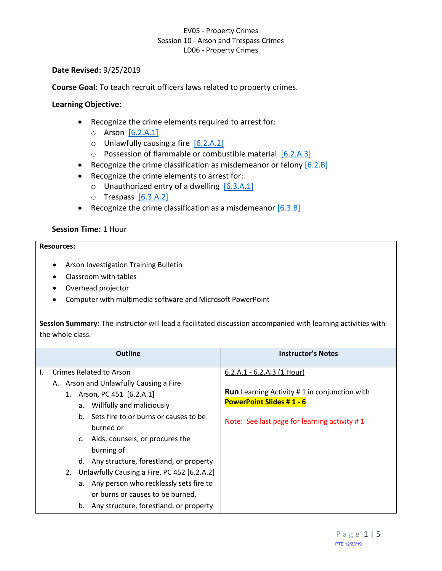### **Date Revised:** 9/25/2019

**Course Goal:** To teach recruit officers laws related to property crimes.

### **Learning Objective:**

- Recognize the crime elements required to arrest for:
	- o Arson [\[6.2.A.1\]](#page-0-0)
	- $\circ$  Unlawfully causing a fire  $[6.2.A.2]$
	- o Possession of flammable or combustible material [\[6.2.A.3\]](#page-1-0)
- Recognize the crime classification as misdemeanor or felony [6.2.B]
- <span id="page-0-2"></span>• Recognize the crime elements to arrest for:
	- $\circ$  Unauthorized entry of a dwelling  $[6.3.A.1]$
	- o Trespass [\[6.3.A.2\]](#page-1-2)
- <span id="page-0-3"></span>• Recognize the crime classification as a misdemeanor [6.3.B]

### **Session Time:** 1 Hour

#### **Resources:**

- Arson Investigation Training Bulletin
- Classroom with tables
- Overhead projector
- Computer with multimedia software and Microsoft PowerPoint

**Session Summary:** The instructor will lead a facilitated discussion accompanied with learning activities with the whole class.

<span id="page-0-1"></span><span id="page-0-0"></span>

| <b>Outline</b>                                                                                                                                                                                                                                                                                                                                                                                                                  | <b>Instructor's Notes</b>                                                                                                                                               |
|---------------------------------------------------------------------------------------------------------------------------------------------------------------------------------------------------------------------------------------------------------------------------------------------------------------------------------------------------------------------------------------------------------------------------------|-------------------------------------------------------------------------------------------------------------------------------------------------------------------------|
| Crimes Related to Arson<br>A. Arson and Unlawfully Causing a Fire<br>1. Arson, PC 451 [6.2.A.1]<br>a. Willfully and maliciously<br>b. Sets fire to or burns or causes to be<br>burned or<br>c. Aids, counsels, or procures the<br>burning of<br>d. Any structure, forestland, or property<br>Unlawfully Causing a Fire, PC 452 [6.2.A.2]<br>2.<br>a. Any person who recklessly sets fire to<br>or burns or causes to be burned, | $6.2.A.1 - 6.2.A.3$ (1 Hour)<br><b>Run</b> Learning Activity # 1 in conjunction with<br><b>PowerPoint Slides #1 - 6</b><br>Note: See last page for learning activity #1 |
| b. Any structure, forestland, or property                                                                                                                                                                                                                                                                                                                                                                                       |                                                                                                                                                                         |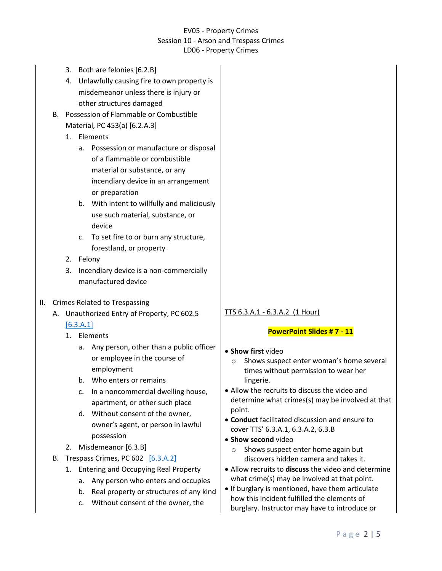<span id="page-1-2"></span><span id="page-1-1"></span><span id="page-1-0"></span>

|     |    | Both are felonies [6.2.B]<br>3.                         |                                                          |
|-----|----|---------------------------------------------------------|----------------------------------------------------------|
|     |    | Unlawfully causing fire to own property is<br>4.        |                                                          |
|     |    | misdemeanor unless there is injury or                   |                                                          |
|     |    | other structures damaged                                |                                                          |
|     |    | B. Possession of Flammable or Combustible               |                                                          |
|     |    | Material, PC 453(a) [6.2.A.3]                           |                                                          |
|     |    | 1. Elements                                             |                                                          |
|     |    | a. Possession or manufacture or disposal                |                                                          |
|     |    | of a flammable or combustible                           |                                                          |
|     |    | material or substance, or any                           |                                                          |
|     |    | incendiary device in an arrangement                     |                                                          |
|     |    | or preparation                                          |                                                          |
|     |    | b. With intent to willfully and maliciously             |                                                          |
|     |    | use such material, substance, or                        |                                                          |
|     |    | device                                                  |                                                          |
|     |    | To set fire to or burn any structure,<br>$\mathsf{C}$ . |                                                          |
|     |    | forestland, or property                                 |                                                          |
|     |    | 2. Felony                                               |                                                          |
|     |    | Incendiary device is a non-commercially<br>3.           |                                                          |
|     |    | manufactured device                                     |                                                          |
|     |    |                                                         |                                                          |
| II. |    | <b>Crimes Related to Trespassing</b>                    |                                                          |
|     |    | A. Unauthorized Entry of Property, PC 602.5             | TTS 6.3.A.1 - 6.3.A.2 (1 Hour)                           |
|     |    | [6.3.A.1]                                               |                                                          |
|     |    | Elements<br>1.                                          | <b>PowerPoint Slides #7 - 11</b>                         |
|     |    | Any person, other than a public officer<br>а.           | • Show first video                                       |
|     |    | or employee in the course of                            | Shows suspect enter woman's home several<br>O            |
|     |    | employment                                              | times without permission to wear her                     |
|     |    | Who enters or remains                                   | lingerie.                                                |
|     |    | In a noncommercial dwelling house,<br>c.                | • Allow the recruits to discuss the video and            |
|     |    | apartment, or other such place                          | determine what crimes(s) may be involved at that         |
|     |    | d. Without consent of the owner,                        | point.<br>• Conduct facilitated discussion and ensure to |
|     |    | owner's agent, or person in lawful                      | cover TTS' 6.3.A.1, 6.3.A.2, 6.3.B                       |
|     |    | possession                                              | • Show second video                                      |
|     |    | Misdemeanor [6.3.B]<br>2.                               | Shows suspect enter home again but<br>$\circ$            |
|     | В. | Trespass Crimes, PC 602 [6.3.A.2]                       | discovers hidden camera and takes it.                    |
|     |    | 1. Entering and Occupying Real Property                 | • Allow recruits to discuss the video and determine      |
|     |    | Any person who enters and occupies<br>а.                | what crime(s) may be involved at that point.             |
|     |    | Real property or structures of any kind<br>b.           | • If burglary is mentioned, have them articulate         |
|     |    | Without consent of the owner, the<br>c.                 | how this incident fulfilled the elements of              |
|     |    |                                                         | burglary. Instructor may have to introduce or            |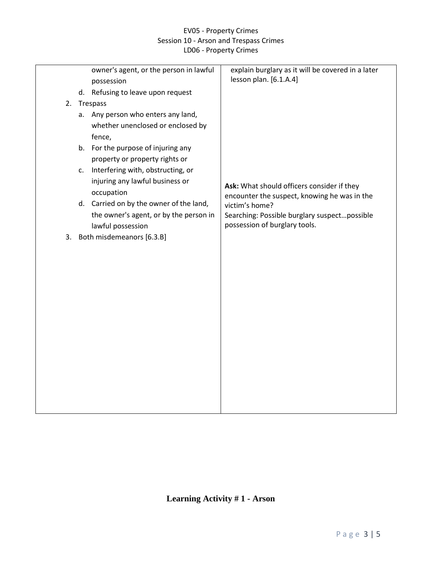|    | owner's agent, or the person in lawful  | explain burglary as it will be covered in a later<br>lesson plan. [6.1.A.4] |
|----|-----------------------------------------|-----------------------------------------------------------------------------|
|    | possession                              |                                                                             |
|    | d. Refusing to leave upon request       |                                                                             |
|    | 2. Trespass                             |                                                                             |
|    | Any person who enters any land,<br>а.   |                                                                             |
|    | whether unenclosed or enclosed by       |                                                                             |
|    | fence,                                  |                                                                             |
|    | b. For the purpose of injuring any      |                                                                             |
|    | property or property rights or          |                                                                             |
|    | Interfering with, obstructing, or<br>C. |                                                                             |
|    | injuring any lawful business or         | Ask: What should officers consider if they                                  |
|    | occupation                              | encounter the suspect, knowing he was in the                                |
|    | d. Carried on by the owner of the land, | victim's home?                                                              |
|    | the owner's agent, or by the person in  | Searching: Possible burglary suspectpossible                                |
|    | lawful possession                       | possession of burglary tools.                                               |
| 3. | Both misdemeanors [6.3.B]               |                                                                             |
|    |                                         |                                                                             |
|    |                                         |                                                                             |
|    |                                         |                                                                             |
|    |                                         |                                                                             |
|    |                                         |                                                                             |
|    |                                         |                                                                             |
|    |                                         |                                                                             |
|    |                                         |                                                                             |
|    |                                         |                                                                             |
|    |                                         |                                                                             |
|    |                                         |                                                                             |
|    |                                         |                                                                             |
|    |                                         |                                                                             |
|    |                                         |                                                                             |
|    |                                         |                                                                             |
|    |                                         |                                                                             |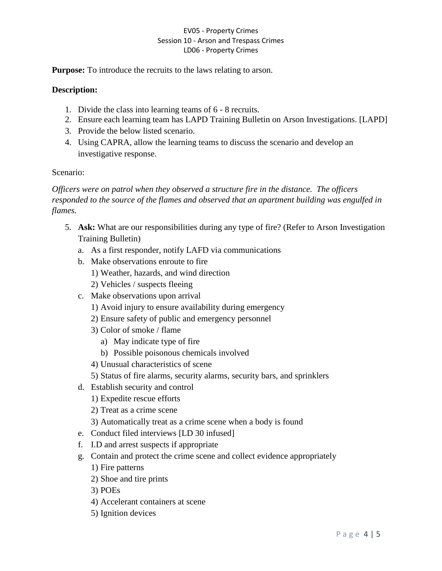**Purpose:** To introduce the recruits to the laws relating to arson.

# **Description:**

- 1. Divide the class into learning teams of 6 8 recruits.
- 2. Ensure each learning team has LAPD Training Bulletin on Arson Investigations. [LAPD]
- 3. Provide the below listed scenario.
- 4. Using CAPRA, allow the learning teams to discuss the scenario and develop an investigative response.

## Scenario:

*Officers were on patrol when they observed a structure fire in the distance. The officers responded to the source of the flames and observed that an apartment building was engulfed in flames.*

- 5. **Ask:** What are our responsibilities during any type of fire? (Refer to Arson Investigation Training Bulletin)
	- a. As a first responder, notify LAFD via communications
	- b. Make observations enroute to fire 1) Weather, hazards, and wind direction 2) Vehicles / suspects fleeing
	- c. Make observations upon arrival
		- 1) Avoid injury to ensure availability during emergency
		- 2) Ensure safety of public and emergency personnel
		- 3) Color of smoke / flame
			- a) May indicate type of fire
			- b) Possible poisonous chemicals involved
		- 4) Unusual characteristics of scene
		- 5) Status of fire alarms, security alarms, security bars, and sprinklers
	- d. Establish security and control
		- 1) Expedite rescue efforts
		- 2) Treat as a crime scene
		- 3) Automatically treat as a crime scene when a body is found
	- e. Conduct filed interviews [LD 30 infused]
	- f. I.D and arrest suspects if appropriate
	- g. Contain and protect the crime scene and collect evidence appropriately
		- 1) Fire patterns
		- 2) Shoe and tire prints
		- 3) POEs
		- 4) Accelerant containers at scene
		- 5) Ignition devices